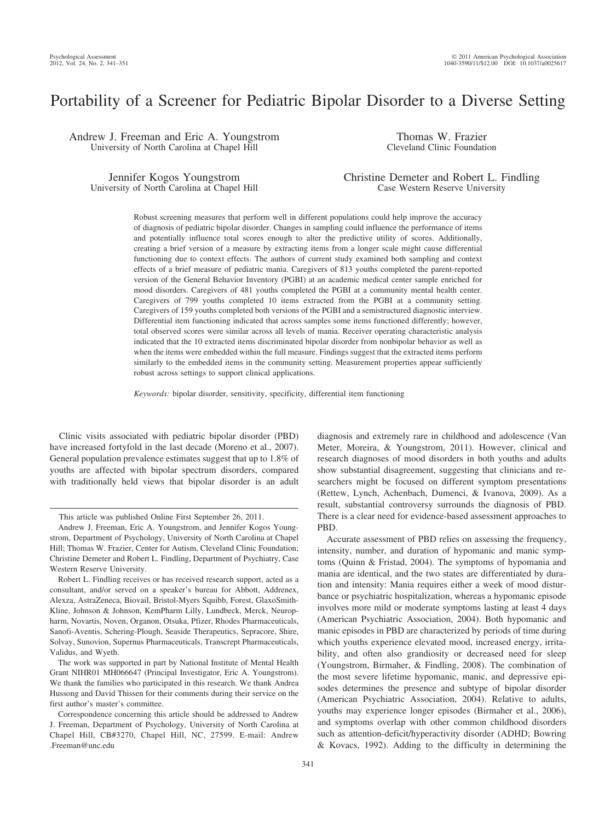# Portability of a Screener for Pediatric Bipolar Disorder to a Diverse Setting

Andrew J. Freeman and Eric A. Youngstrom University of North Carolina at Chapel Hill

> Jennifer Kogos Youngstrom University of North Carolina at Chapel Hill

Thomas W. Frazier Cleveland Clinic Foundation

Christine Demeter and Robert L. Findling Case Western Reserve University

Robust screening measures that perform well in different populations could help improve the accuracy of diagnosis of pediatric bipolar disorder. Changes in sampling could influence the performance of items and potentially influence total scores enough to alter the predictive utility of scores. Additionally, creating a brief version of a measure by extracting items from a longer scale might cause differential functioning due to context effects. The authors of current study examined both sampling and context effects of a brief measure of pediatric mania. Caregivers of 813 youths completed the parent-reported version of the General Behavior Inventory (PGBI) at an academic medical center sample enriched for mood disorders. Caregivers of 481 youths completed the PGBI at a community mental health center. Caregivers of 799 youths completed 10 items extracted from the PGBI at a community setting. Caregivers of 159 youths completed both versions of the PGBI and a semistructured diagnostic interview. Differential item functioning indicated that across samples some items functioned differently; however, total observed scores were similar across all levels of mania. Receiver operating characteristic analysis indicated that the 10 extracted items discriminated bipolar disorder from nonbipolar behavior as well as when the items were embedded within the full measure. Findings suggest that the extracted items perform similarly to the embedded items in the community setting. Measurement properties appear sufficiently robust across settings to support clinical applications.

*Keywords:* bipolar disorder, sensitivity, specificity, differential item functioning

Clinic visits associated with pediatric bipolar disorder (PBD) have increased fortyfold in the last decade (Moreno et al., 2007). General population prevalence estimates suggest that up to 1.8% of youths are affected with bipolar spectrum disorders, compared with traditionally held views that bipolar disorder is an adult

Robert L. Findling receives or has received research support, acted as a consultant, and/or served on a speaker's bureau for Abbott, Addrenex, Alexza, AstraZeneca, Biovail, Bristol-Myers Squibb, Forest, GlaxoSmith-Kline, Johnson & Johnson, KemPharm Lilly, Lundbeck, Merck, Neuropharm, Novartis, Noven, Organon, Otsuka, Pfizer, Rhodes Pharmaceuticals, Sanofi-Aventis, Schering-Plough, Seaside Therapeutics, Sepracore, Shire, Solvay, Sunovion, Supernus Pharmaceuticals, Transcrept Pharmaceuticals, Validus, and Wyeth.

The work was supported in part by National Institute of Mental Health Grant NIHR01 MH066647 (Principal Investigator, Eric A. Youngstrom). We thank the families who participated in this research. We thank Andrea Hussong and David Thissen for their comments during their service on the first author's master's committee.

Correspondence concerning this article should be addressed to Andrew J. Freeman, Department of Psychology, University of North Carolina at Chapel Hill, CB#3270, Chapel Hill, NC, 27599. E-mail: Andrew .Freeman@unc.edu

diagnosis and extremely rare in childhood and adolescence (Van Meter, Moreira, & Youngstrom, 2011). However, clinical and research diagnoses of mood disorders in both youths and adults show substantial disagreement, suggesting that clinicians and researchers might be focused on different symptom presentations (Rettew, Lynch, Achenbach, Dumenci, & Ivanova, 2009). As a result, substantial controversy surrounds the diagnosis of PBD. There is a clear need for evidence-based assessment approaches to PBD.

Accurate assessment of PBD relies on assessing the frequency, intensity, number, and duration of hypomanic and manic symptoms (Quinn & Fristad, 2004). The symptoms of hypomania and mania are identical, and the two states are differentiated by duration and intensity: Mania requires either a week of mood disturbance or psychiatric hospitalization, whereas a hypomanic episode involves more mild or moderate symptoms lasting at least 4 days (American Psychiatric Association, 2004). Both hypomanic and manic episodes in PBD are characterized by periods of time during which youths experience elevated mood, increased energy, irritability, and often also grandiosity or decreased need for sleep (Youngstrom, Birmaher, & Findling, 2008). The combination of the most severe lifetime hypomanic, manic, and depressive episodes determines the presence and subtype of bipolar disorder (American Psychiatric Association, 2004). Relative to adults, youths may experience longer episodes (Birmaher et al., 2006), and symptoms overlap with other common childhood disorders such as attention-deficit/hyperactivity disorder (ADHD; Bowring & Kovacs, 1992). Adding to the difficulty in determining the

This article was published Online First September 26, 2011.

Andrew J. Freeman, Eric A. Youngstrom, and Jennifer Kogos Youngstrom, Department of Psychology, University of North Carolina at Chapel Hill; Thomas W. Frazier, Center for Autism, Cleveland Clinic Foundation; Christine Demeter and Robert L. Findling, Department of Psychiatry, Case Western Reserve University.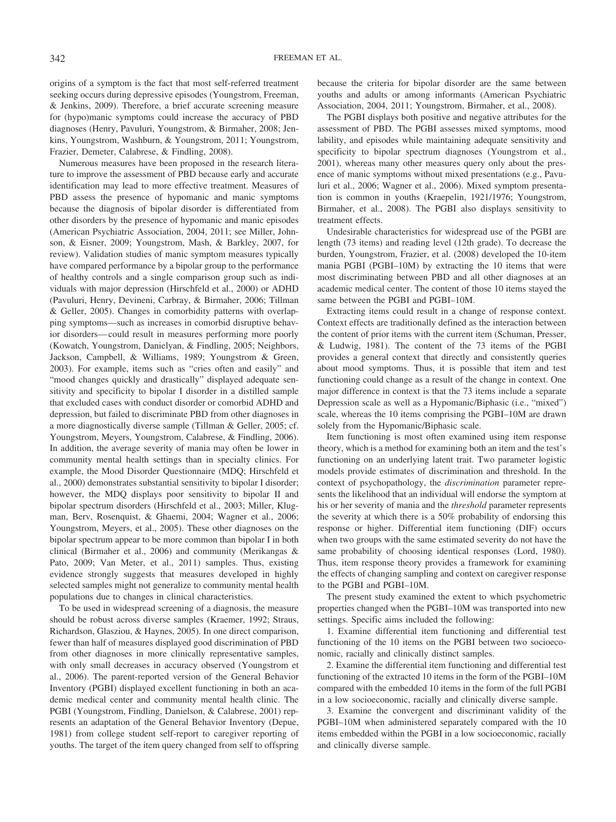origins of a symptom is the fact that most self-referred treatment seeking occurs during depressive episodes (Youngstrom, Freeman, & Jenkins, 2009). Therefore, a brief accurate screening measure for (hypo)manic symptoms could increase the accuracy of PBD diagnoses (Henry, Pavuluri, Youngstrom, & Birmaher, 2008; Jenkins, Youngstrom, Washburn, & Youngstrom, 2011; Youngstrom, Frazier, Demeter, Calabrese, & Findling, 2008).

Numerous measures have been proposed in the research literature to improve the assessment of PBD because early and accurate identification may lead to more effective treatment. Measures of PBD assess the presence of hypomanic and manic symptoms because the diagnosis of bipolar disorder is differentiated from other disorders by the presence of hypomanic and manic episodes (American Psychiatric Association, 2004, 2011; see Miller, Johnson, & Eisner, 2009; Youngstrom, Mash, & Barkley, 2007, for review). Validation studies of manic symptom measures typically have compared performance by a bipolar group to the performance of healthy controls and a single comparison group such as individuals with major depression (Hirschfeld et al., 2000) or ADHD (Pavuluri, Henry, Devineni, Carbray, & Birmaher, 2006; Tillman & Geller, 2005). Changes in comorbidity patterns with overlapping symptoms—such as increases in comorbid disruptive behavior disorders— could result in measures performing more poorly (Kowatch, Youngstrom, Danielyan, & Findling, 2005; Neighbors, Jackson, Campbell, & Williams, 1989; Youngstrom & Green, 2003). For example, items such as "cries often and easily" and "mood changes quickly and drastically" displayed adequate sensitivity and specificity to bipolar I disorder in a distilled sample that excluded cases with conduct disorder or comorbid ADHD and depression, but failed to discriminate PBD from other diagnoses in a more diagnostically diverse sample (Tillman & Geller, 2005; cf. Youngstrom, Meyers, Youngstrom, Calabrese, & Findling, 2006). In addition, the average severity of mania may often be lower in community mental health settings than in specialty clinics. For example, the Mood Disorder Questionnaire (MDQ; Hirschfeld et al., 2000) demonstrates substantial sensitivity to bipolar I disorder; however, the MDQ displays poor sensitivity to bipolar II and bipolar spectrum disorders (Hirschfeld et al., 2003; Miller, Klugman, Berv, Rosenquist, & Ghaemi, 2004; Wagner et al., 2006; Youngstrom, Meyers, et al., 2005). These other diagnoses on the bipolar spectrum appear to be more common than bipolar I in both clinical (Birmaher et al., 2006) and community (Merikangas & Pato, 2009; Van Meter, et al., 2011) samples. Thus, existing evidence strongly suggests that measures developed in highly selected samples might not generalize to community mental health populations due to changes in clinical characteristics.

To be used in widespread screening of a diagnosis, the measure should be robust across diverse samples (Kraemer, 1992; Straus, Richardson, Glasziou, & Haynes, 2005). In one direct comparison, fewer than half of measures displayed good discrimination of PBD from other diagnoses in more clinically representative samples, with only small decreases in accuracy observed (Youngstrom et al., 2006). The parent-reported version of the General Behavior Inventory (PGBI) displayed excellent functioning in both an academic medical center and community mental health clinic. The PGBI (Youngstrom, Findling, Danielson, & Calabrese, 2001) represents an adaptation of the General Behavior Inventory (Depue, 1981) from college student self-report to caregiver reporting of youths. The target of the item query changed from self to offspring

because the criteria for bipolar disorder are the same between youths and adults or among informants (American Psychiatric Association, 2004, 2011; Youngstrom, Birmaher, et al., 2008).

The PGBI displays both positive and negative attributes for the assessment of PBD. The PGBI assesses mixed symptoms, mood lability, and episodes while maintaining adequate sensitivity and specificity to bipolar spectrum diagnoses (Youngstrom et al., 2001), whereas many other measures query only about the presence of manic symptoms without mixed presentations (e.g., Pavuluri et al., 2006; Wagner et al., 2006). Mixed symptom presentation is common in youths (Kraepelin, 1921/1976; Youngstrom, Birmaher, et al., 2008). The PGBI also displays sensitivity to treatment effects.

Undesirable characteristics for widespread use of the PGBI are length (73 items) and reading level (12th grade). To decrease the burden, Youngstrom, Frazier, et al. (2008) developed the 10-item mania PGBI (PGBI–10M) by extracting the 10 items that were most discriminating between PBD and all other diagnoses at an academic medical center. The content of those 10 items stayed the same between the PGBI and PGBI–10M.

Extracting items could result in a change of response context. Context effects are traditionally defined as the interaction between the content of prior items with the current item (Schuman, Presser, & Ludwig, 1981). The content of the 73 items of the PGBI provides a general context that directly and consistently queries about mood symptoms. Thus, it is possible that item and test functioning could change as a result of the change in context. One major difference in context is that the 73 items include a separate Depression scale as well as a Hypomanic/Biphasic (i.e., "mixed") scale, whereas the 10 items comprising the PGBI–10M are drawn solely from the Hypomanic/Biphasic scale.

Item functioning is most often examined using item response theory, which is a method for examining both an item and the test's functioning on an underlying latent trait. Two parameter logistic models provide estimates of discrimination and threshold. In the context of psychopathology, the *discrimination* parameter represents the likelihood that an individual will endorse the symptom at his or her severity of mania and the *threshold* parameter represents the severity at which there is a 50% probability of endorsing this response or higher. Differential item functioning (DIF) occurs when two groups with the same estimated severity do not have the same probability of choosing identical responses (Lord, 1980). Thus, item response theory provides a framework for examining the effects of changing sampling and context on caregiver response to the PGBI and PGBI–10M.

The present study examined the extent to which psychometric properties changed when the PGBI–10M was transported into new settings. Specific aims included the following:

1. Examine differential item functioning and differential test functioning of the 10 items on the PGBI between two socioeconomic, racially and clinically distinct samples.

2. Examine the differential item functioning and differential test functioning of the extracted 10 items in the form of the PGBI–10M compared with the embedded 10 items in the form of the full PGBI in a low socioeconomic, racially and clinically diverse sample.

3. Examine the convergent and discriminant validity of the PGBI–10M when administered separately compared with the 10 items embedded within the PGBI in a low socioeconomic, racially and clinically diverse sample.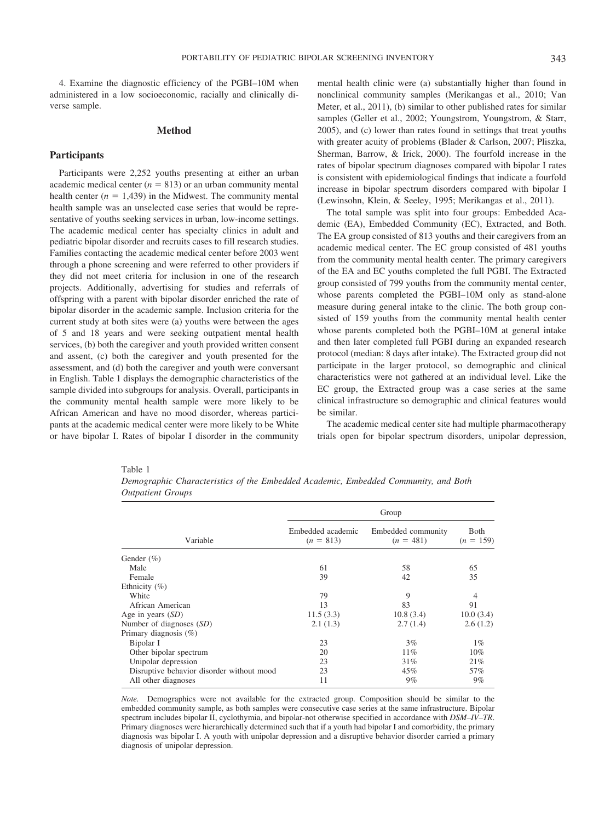4. Examine the diagnostic efficiency of the PGBI–10M when administered in a low socioeconomic, racially and clinically diverse sample.

#### **Method**

#### **Participants**

Participants were 2,252 youths presenting at either an urban academic medical center  $(n = 813)$  or an urban community mental health center  $(n = 1,439)$  in the Midwest. The community mental health sample was an unselected case series that would be representative of youths seeking services in urban, low-income settings. The academic medical center has specialty clinics in adult and pediatric bipolar disorder and recruits cases to fill research studies. Families contacting the academic medical center before 2003 went through a phone screening and were referred to other providers if they did not meet criteria for inclusion in one of the research projects. Additionally, advertising for studies and referrals of offspring with a parent with bipolar disorder enriched the rate of bipolar disorder in the academic sample. Inclusion criteria for the current study at both sites were (a) youths were between the ages of 5 and 18 years and were seeking outpatient mental health services, (b) both the caregiver and youth provided written consent and assent, (c) both the caregiver and youth presented for the assessment, and (d) both the caregiver and youth were conversant in English. Table 1 displays the demographic characteristics of the sample divided into subgroups for analysis. Overall, participants in the community mental health sample were more likely to be African American and have no mood disorder, whereas participants at the academic medical center were more likely to be White or have bipolar I. Rates of bipolar I disorder in the community

mental health clinic were (a) substantially higher than found in nonclinical community samples (Merikangas et al., 2010; Van Meter, et al., 2011), (b) similar to other published rates for similar samples (Geller et al., 2002; Youngstrom, Youngstrom, & Starr, 2005), and (c) lower than rates found in settings that treat youths with greater acuity of problems (Blader & Carlson, 2007; Pliszka, Sherman, Barrow, & Irick, 2000). The fourfold increase in the rates of bipolar spectrum diagnoses compared with bipolar I rates is consistent with epidemiological findings that indicate a fourfold increase in bipolar spectrum disorders compared with bipolar I (Lewinsohn, Klein, & Seeley, 1995; Merikangas et al., 2011).

The total sample was split into four groups: Embedded Academic (EA), Embedded Community (EC), Extracted, and Both. The EA group consisted of 813 youths and their caregivers from an academic medical center. The EC group consisted of 481 youths from the community mental health center. The primary caregivers of the EA and EC youths completed the full PGBI. The Extracted group consisted of 799 youths from the community mental center, whose parents completed the PGBI–10M only as stand-alone measure during general intake to the clinic. The both group consisted of 159 youths from the community mental health center whose parents completed both the PGBI–10M at general intake and then later completed full PGBI during an expanded research protocol (median: 8 days after intake). The Extracted group did not participate in the larger protocol, so demographic and clinical characteristics were not gathered at an individual level. Like the EC group, the Extracted group was a case series at the same clinical infrastructure so demographic and clinical features would be similar.

The academic medical center site had multiple pharmacotherapy trials open for bipolar spectrum disorders, unipolar depression,

Table 1

*Demographic Characteristics of the Embedded Academic, Embedded Community, and Both Outpatient Groups*

|                                           | Group                            |                                   |                             |  |  |
|-------------------------------------------|----------------------------------|-----------------------------------|-----------------------------|--|--|
| Variable                                  | Embedded academic<br>$(n = 813)$ | Embedded community<br>$(n = 481)$ | <b>B</b> oth<br>$(n = 159)$ |  |  |
| Gender $(\% )$                            |                                  |                                   |                             |  |  |
| Male                                      | 61                               | 58                                | 65                          |  |  |
| Female                                    | 39                               | 42                                | 35                          |  |  |
| Ethnicity $(\% )$                         |                                  |                                   |                             |  |  |
| White                                     | 79                               | 9                                 | 4                           |  |  |
| African American                          | 13                               | 83                                | 91                          |  |  |
| Age in years $(SD)$                       | 11.5(3.3)                        | 10.8(3.4)                         | 10.0(3.4)                   |  |  |
| Number of diagnoses $(SD)$                | 2.1(1.3)                         | 2.7(1.4)                          | 2.6(1.2)                    |  |  |
| Primary diagnosis $(\%)$                  |                                  |                                   |                             |  |  |
| Bipolar I                                 | 23                               | 3%                                | $1\%$                       |  |  |
| Other bipolar spectrum                    | 20                               | 11%                               | 10%                         |  |  |
| Unipolar depression                       | 23                               | 31%                               | 21%                         |  |  |
| Disruptive behavior disorder without mood | 23                               | 45%                               | 57%                         |  |  |
| All other diagnoses                       | 11                               | 9%                                | 9%                          |  |  |

*Note.* Demographics were not available for the extracted group. Composition should be similar to the embedded community sample, as both samples were consecutive case series at the same infrastructure. Bipolar spectrum includes bipolar II, cyclothymia, and bipolar-not otherwise specified in accordance with *DSM–IV–TR*. Primary diagnoses were hierarchically determined such that if a youth had bipolar I and comorbidity, the primary diagnosis was bipolar I. A youth with unipolar depression and a disruptive behavior disorder carried a primary diagnosis of unipolar depression.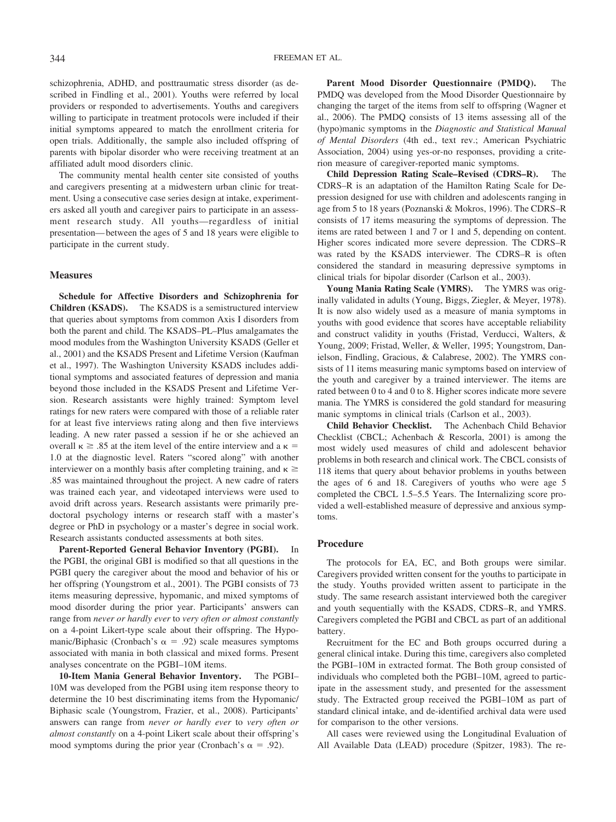schizophrenia, ADHD, and posttraumatic stress disorder (as described in Findling et al., 2001). Youths were referred by local providers or responded to advertisements. Youths and caregivers willing to participate in treatment protocols were included if their initial symptoms appeared to match the enrollment criteria for open trials. Additionally, the sample also included offspring of parents with bipolar disorder who were receiving treatment at an affiliated adult mood disorders clinic.

The community mental health center site consisted of youths and caregivers presenting at a midwestern urban clinic for treatment. Using a consecutive case series design at intake, experimenters asked all youth and caregiver pairs to participate in an assessment research study. All youths—regardless of initial presentation— between the ages of 5 and 18 years were eligible to participate in the current study.

### **Measures**

**Schedule for Affective Disorders and Schizophrenia for Children (KSADS).** The KSADS is a semistructured interview that queries about symptoms from common Axis I disorders from both the parent and child. The KSADS–PL–Plus amalgamates the mood modules from the Washington University KSADS (Geller et al., 2001) and the KSADS Present and Lifetime Version (Kaufman et al., 1997). The Washington University KSADS includes additional symptoms and associated features of depression and mania beyond those included in the KSADS Present and Lifetime Version. Research assistants were highly trained: Symptom level ratings for new raters were compared with those of a reliable rater for at least five interviews rating along and then five interviews leading. A new rater passed a session if he or she achieved an overall  $\kappa \geq .85$  at the item level of the entire interview and a  $\kappa =$ 1.0 at the diagnostic level. Raters "scored along" with another interviewer on a monthly basis after completing training, and  $\kappa \geq$ .85 was maintained throughout the project. A new cadre of raters was trained each year, and videotaped interviews were used to avoid drift across years. Research assistants were primarily predoctoral psychology interns or research staff with a master's degree or PhD in psychology or a master's degree in social work. Research assistants conducted assessments at both sites.

**Parent-Reported General Behavior Inventory (PGBI).** In the PGBI, the original GBI is modified so that all questions in the PGBI query the caregiver about the mood and behavior of his or her offspring (Youngstrom et al., 2001). The PGBI consists of 73 items measuring depressive, hypomanic, and mixed symptoms of mood disorder during the prior year. Participants' answers can range from *never or hardly ever* to *very often or almost constantly* on a 4-point Likert-type scale about their offspring. The Hypomanic/Biphasic (Cronbach's  $\alpha$  = .92) scale measures symptoms associated with mania in both classical and mixed forms. Present analyses concentrate on the PGBI–10M items.

**10-Item Mania General Behavior Inventory.** The PGBI– 10M was developed from the PGBI using item response theory to determine the 10 best discriminating items from the Hypomanic/ Biphasic scale (Youngstrom, Frazier, et al., 2008). Participants' answers can range from *never or hardly ever* to *very often or almost constantly* on a 4-point Likert scale about their offspring's mood symptoms during the prior year (Cronbach's  $\alpha = .92$ ).

**Parent Mood Disorder Questionnaire (PMDQ).** The PMDQ was developed from the Mood Disorder Questionnaire by changing the target of the items from self to offspring (Wagner et al., 2006). The PMDQ consists of 13 items assessing all of the (hypo)manic symptoms in the *Diagnostic and Statistical Manual of Mental Disorders* (4th ed., text rev.; American Psychiatric Association, 2004) using yes-or-no responses, providing a criterion measure of caregiver-reported manic symptoms.

**Child Depression Rating Scale–Revised (CDRS–R).** The CDRS–R is an adaptation of the Hamilton Rating Scale for Depression designed for use with children and adolescents ranging in age from 5 to 18 years (Poznanski & Mokros, 1996). The CDRS–R consists of 17 items measuring the symptoms of depression. The items are rated between 1 and 7 or 1 and 5, depending on content. Higher scores indicated more severe depression. The CDRS–R was rated by the KSADS interviewer. The CDRS–R is often considered the standard in measuring depressive symptoms in clinical trials for bipolar disorder (Carlson et al., 2003).

**Young Mania Rating Scale (YMRS).** The YMRS was originally validated in adults (Young, Biggs, Ziegler, & Meyer, 1978). It is now also widely used as a measure of mania symptoms in youths with good evidence that scores have acceptable reliability and construct validity in youths (Fristad, Verducci, Walters, & Young, 2009; Fristad, Weller, & Weller, 1995; Youngstrom, Danielson, Findling, Gracious, & Calabrese, 2002). The YMRS consists of 11 items measuring manic symptoms based on interview of the youth and caregiver by a trained interviewer. The items are rated between 0 to 4 and 0 to 8. Higher scores indicate more severe mania. The YMRS is considered the gold standard for measuring manic symptoms in clinical trials (Carlson et al., 2003).

**Child Behavior Checklist.** The Achenbach Child Behavior Checklist (CBCL; Achenbach & Rescorla, 2001) is among the most widely used measures of child and adolescent behavior problems in both research and clinical work. The CBCL consists of 118 items that query about behavior problems in youths between the ages of 6 and 18. Caregivers of youths who were age 5 completed the CBCL 1.5–5.5 Years. The Internalizing score provided a well-established measure of depressive and anxious symptoms.

## **Procedure**

The protocols for EA, EC, and Both groups were similar. Caregivers provided written consent for the youths to participate in the study. Youths provided written assent to participate in the study. The same research assistant interviewed both the caregiver and youth sequentially with the KSADS, CDRS–R, and YMRS. Caregivers completed the PGBI and CBCL as part of an additional battery.

Recruitment for the EC and Both groups occurred during a general clinical intake. During this time, caregivers also completed the PGBI–10M in extracted format. The Both group consisted of individuals who completed both the PGBI–10M, agreed to participate in the assessment study, and presented for the assessment study. The Extracted group received the PGBI–10M as part of standard clinical intake, and de-identified archival data were used for comparison to the other versions.

All cases were reviewed using the Longitudinal Evaluation of All Available Data (LEAD) procedure (Spitzer, 1983). The re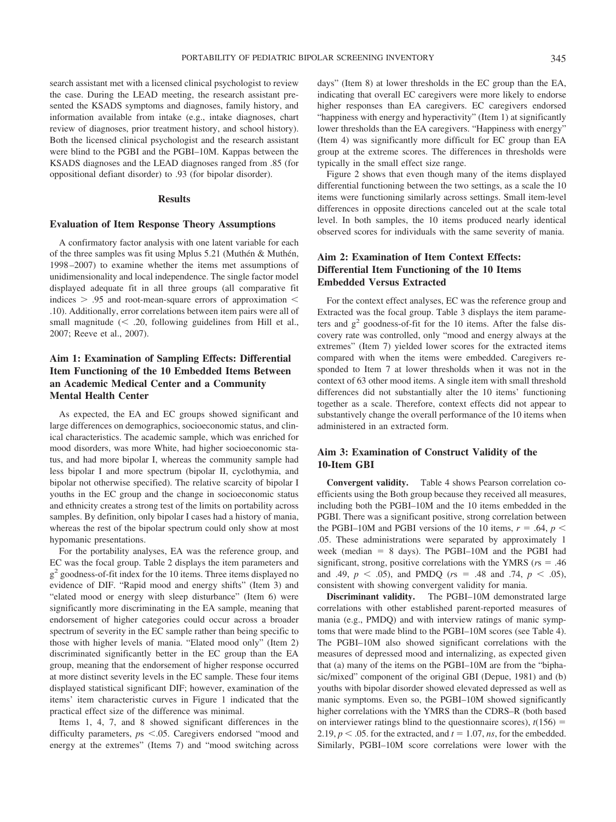search assistant met with a licensed clinical psychologist to review the case. During the LEAD meeting, the research assistant presented the KSADS symptoms and diagnoses, family history, and information available from intake (e.g., intake diagnoses, chart review of diagnoses, prior treatment history, and school history). Both the licensed clinical psychologist and the research assistant were blind to the PGBI and the PGBI–10M. Kappas between the KSADS diagnoses and the LEAD diagnoses ranged from .85 (for oppositional defiant disorder) to .93 (for bipolar disorder).

## **Results**

## **Evaluation of Item Response Theory Assumptions**

A confirmatory factor analysis with one latent variable for each of the three samples was fit using Mplus 5.21 (Muthén & Muthén, 1998 –2007) to examine whether the items met assumptions of unidimensionality and local independence. The single factor model displayed adequate fit in all three groups (all comparative fit indices  $>$  .95 and root-mean-square errors of approximation  $<$ .10). Additionally, error correlations between item pairs were all of small magnitude  $\ll$  .20, following guidelines from Hill et al., 2007; Reeve et al., 2007).

# **Aim 1: Examination of Sampling Effects: Differential Item Functioning of the 10 Embedded Items Between an Academic Medical Center and a Community Mental Health Center**

As expected, the EA and EC groups showed significant and large differences on demographics, socioeconomic status, and clinical characteristics. The academic sample, which was enriched for mood disorders, was more White, had higher socioeconomic status, and had more bipolar I, whereas the community sample had less bipolar I and more spectrum (bipolar II, cyclothymia, and bipolar not otherwise specified). The relative scarcity of bipolar I youths in the EC group and the change in socioeconomic status and ethnicity creates a strong test of the limits on portability across samples. By definition, only bipolar I cases had a history of mania, whereas the rest of the bipolar spectrum could only show at most hypomanic presentations.

For the portability analyses, EA was the reference group, and EC was the focal group. Table 2 displays the item parameters and  $g<sup>2</sup>$  goodness-of-fit index for the 10 items. Three items displayed no evidence of DIF. "Rapid mood and energy shifts" (Item 3) and "elated mood or energy with sleep disturbance" (Item 6) were significantly more discriminating in the EA sample, meaning that endorsement of higher categories could occur across a broader spectrum of severity in the EC sample rather than being specific to those with higher levels of mania. "Elated mood only" (Item 2) discriminated significantly better in the EC group than the EA group, meaning that the endorsement of higher response occurred at more distinct severity levels in the EC sample. These four items displayed statistical significant DIF; however, examination of the items' item characteristic curves in Figure 1 indicated that the practical effect size of the difference was minimal.

Items 1, 4, 7, and 8 showed significant differences in the difficulty parameters,  $p_s < 0.05$ . Caregivers endorsed "mood and energy at the extremes" (Items 7) and "mood switching across days" (Item 8) at lower thresholds in the EC group than the EA, indicating that overall EC caregivers were more likely to endorse higher responses than EA caregivers. EC caregivers endorsed "happiness with energy and hyperactivity" (Item 1) at significantly lower thresholds than the EA caregivers. "Happiness with energy" (Item 4) was significantly more difficult for EC group than EA group at the extreme scores. The differences in thresholds were typically in the small effect size range.

Figure 2 shows that even though many of the items displayed differential functioning between the two settings, as a scale the 10 items were functioning similarly across settings. Small item-level differences in opposite directions canceled out at the scale total level. In both samples, the 10 items produced nearly identical observed scores for individuals with the same severity of mania.

# **Aim 2: Examination of Item Context Effects: Differential Item Functioning of the 10 Items Embedded Versus Extracted**

For the context effect analyses, EC was the reference group and Extracted was the focal group. Table 3 displays the item parameters and  $g<sup>2</sup>$  goodness-of-fit for the 10 items. After the false discovery rate was controlled, only "mood and energy always at the extremes" (Item 7) yielded lower scores for the extracted items compared with when the items were embedded. Caregivers responded to Item 7 at lower thresholds when it was not in the context of 63 other mood items. A single item with small threshold differences did not substantially alter the 10 items' functioning together as a scale. Therefore, context effects did not appear to substantively change the overall performance of the 10 items when administered in an extracted form.

# **Aim 3: Examination of Construct Validity of the 10-Item GBI**

**Convergent validity.** Table 4 shows Pearson correlation coefficients using the Both group because they received all measures, including both the PGBI–10M and the 10 items embedded in the PGBI. There was a significant positive, strong correlation between the PGBI–10M and PGBI versions of the 10 items,  $r = .64$ ,  $p <$ .05. These administrations were separated by approximately 1 week (median  $= 8$  days). The PGBI-10M and the PGBI had significant, strong, positive correlations with the YMRS ( $rs = .46$ ) and .49,  $p \leq .05$ ), and PMDQ ( $rs = .48$  and .74,  $p \leq .05$ ), consistent with showing convergent validity for mania.

**Discriminant validity.** The PGBI–10M demonstrated large correlations with other established parent-reported measures of mania (e.g., PMDQ) and with interview ratings of manic symptoms that were made blind to the PGBI–10M scores (see Table 4). The PGBI–10M also showed significant correlations with the measures of depressed mood and internalizing, as expected given that (a) many of the items on the PGBI–10M are from the "biphasic/mixed" component of the original GBI (Depue, 1981) and (b) youths with bipolar disorder showed elevated depressed as well as manic symptoms. Even so, the PGBI–10M showed significantly higher correlations with the YMRS than the CDRS–R (both based on interviewer ratings blind to the questionnaire scores),  $t(156)$  = 2.19,  $p < .05$ . for the extracted, and  $t = 1.07$ , *ns*, for the embedded. Similarly, PGBI–10M score correlations were lower with the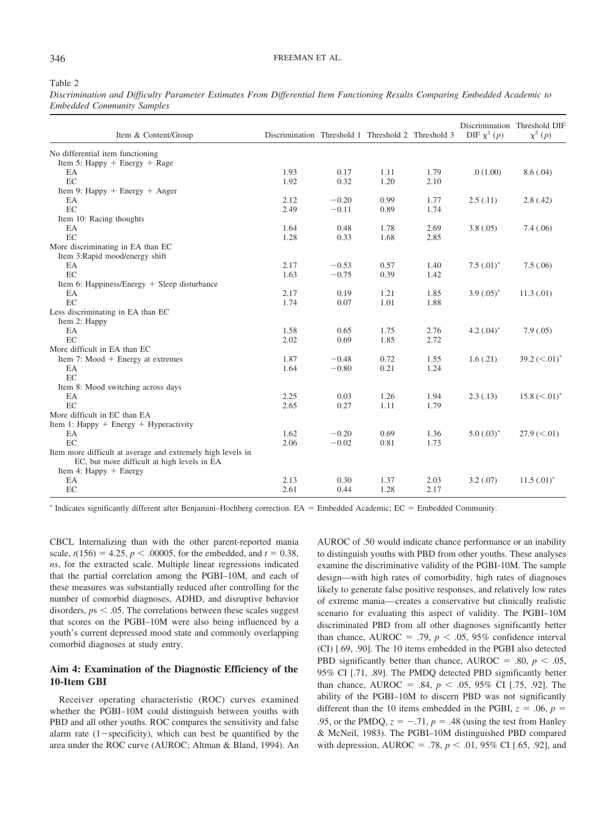#### Table 2

*Discrimination and Difficulty Parameter Estimates From Differential Item Functioning Results Comparing Embedded Academic to Embedded Community Samples*

| Item & Content/Group                                        | Discrimination Threshold 1 Threshold 2 Threshold 3 |         |      |      | DIF $\chi^2$ (p) | Discrimination Threshold DIF<br>$\chi^2(p)$ |
|-------------------------------------------------------------|----------------------------------------------------|---------|------|------|------------------|---------------------------------------------|
| No differential item functioning                            |                                                    |         |      |      |                  |                                             |
| Item 5: Happy $+$ Energy $+$ Rage                           |                                                    |         |      |      |                  |                                             |
| EA                                                          | 1.93                                               | 0.17    | 1.11 | 1.79 | .0(1.00)         | 8.6(.04)                                    |
| EC                                                          | 1.92                                               | 0.32    | 1.20 | 2.10 |                  |                                             |
| Item 9: Happy + Energy + Anger                              |                                                    |         |      |      |                  |                                             |
| EA                                                          | 2.12                                               | $-0.20$ | 0.99 | 1.77 | 2.5(0.11)        | 2.8(0.42)                                   |
| EC                                                          | 2.49                                               | $-0.11$ | 0.89 | 1.74 |                  |                                             |
| Item 10: Racing thoughts                                    |                                                    |         |      |      |                  |                                             |
| EA                                                          | 1.64                                               | 0.48    | 1.78 | 2.69 | 3.8(.05)         | 7.4(.06)                                    |
| EC                                                          | 1.28                                               | 0.33    | 1.68 | 2.85 |                  |                                             |
| More discriminating in EA than EC                           |                                                    |         |      |      |                  |                                             |
| Item 3: Rapid mood/energy shift                             |                                                    |         |      |      |                  |                                             |
| EA                                                          | 2.17                                               | $-0.53$ | 0.57 | 1.40 | $7.5$ $(.01)^*$  | 7.5(.06)                                    |
| EC                                                          | 1.63                                               | $-0.75$ | 0.39 | 1.42 |                  |                                             |
| Item 6: Happiness/Energy + Sleep disturbance                |                                                    |         |      |      |                  |                                             |
| EA                                                          | 2.17                                               | 0.19    | 1.21 | 1.85 | $3.9(.05)^{*}$   | 11.3(0.01)                                  |
| EC                                                          | 1.74                                               | 0.07    | 1.01 | 1.88 |                  |                                             |
| Less discriminating in EA than EC                           |                                                    |         |      |      |                  |                                             |
| Item 2: Happy                                               |                                                    |         |      |      |                  |                                             |
| EA                                                          | 1.58                                               | 0.65    | 1.75 | 2.76 | 4.2 $(.04)^*$    | 7.9(.05)                                    |
| EC                                                          | 2.02                                               | 0.69    | 1.85 | 2.72 |                  |                                             |
| More difficult in EA than EC                                |                                                    |         |      |      |                  |                                             |
| Item 7: Mood $+$ Energy at extremes                         | 1.87                                               | $-0.48$ | 0.72 | 1.55 | 1.6(.21)         | 39.2 $(<.01)$ <sup>*</sup>                  |
| EA                                                          | 1.64                                               | $-0.80$ | 0.21 | 1.24 |                  |                                             |
| EC                                                          |                                                    |         |      |      |                  |                                             |
| Item 8: Mood switching across days                          |                                                    |         |      |      |                  |                                             |
| EA                                                          | 2.25                                               | 0.03    | 1.26 | 1.94 | 2.3(0.13)        | $15.8$ ( $\leq$ .01) <sup>*</sup>           |
| EC                                                          | 2.65                                               | 0.27    | 1.11 | 1.79 |                  |                                             |
| More difficult in EC than EA                                |                                                    |         |      |      |                  |                                             |
| Item 1: Happy $+$ Energy $+$ Hyperactivity                  |                                                    |         |      |      |                  |                                             |
| EA                                                          | 1.62                                               | $-0.20$ | 0.69 | 1.36 | $5.0\,(.03)^*$   | $27.9 \, (< 01)$                            |
| EC                                                          | 2.06                                               | $-0.02$ | 0.81 | 1.73 |                  |                                             |
| Item more difficult at average and extremely high levels in |                                                    |         |      |      |                  |                                             |
| EC, but more difficult at high levels in EA                 |                                                    |         |      |      |                  |                                             |
| Item 4: Happy $+$ Energy                                    |                                                    |         |      |      |                  |                                             |
| EA                                                          | 2.13                                               | 0.30    | 1.37 | 2.03 | 3.2(.07)         | $11.5$ $(01)^*$                             |
| EC                                                          | 2.61                                               | 0.44    | 1.28 | 2.17 |                  |                                             |
|                                                             |                                                    |         |      |      |                  |                                             |

Indicates significantly different after Benjamini–Hochberg correction. EA Embedded Academic; EC Embedded Community.

CBCL Internalizing than with the other parent-reported mania scale,  $t(156) = 4.25$ ,  $p < .00005$ , for the embedded, and  $t = 0.38$ , *ns*, for the extracted scale. Multiple linear regressions indicated that the partial correlation among the PGBI–10M, and each of these measures was substantially reduced after controlling for the number of comorbid diagnoses, ADHD, and disruptive behavior disorders,  $p_s < .05$ . The correlations between these scales suggest that scores on the PGBI–10M were also being influenced by a youth's current depressed mood state and commonly overlapping comorbid diagnoses at study entry.

## **Aim 4: Examination of the Diagnostic Efficiency of the 10-Item GBI**

Receiver operating characteristic (ROC) curves examined whether the PGBI–10M could distinguish between youths with PBD and all other youths. ROC compares the sensitivity and false alarm rate  $(1-specificity)$ , which can best be quantified by the area under the ROC curve (AUROC; Altman & Bland, 1994). An

AUROC of .50 would indicate chance performance or an inability to distinguish youths with PBD from other youths. These analyses examine the discriminative validity of the PGBI-10M. The sample design—with high rates of comorbidity, high rates of diagnoses likely to generate false positive responses, and relatively low rates of extreme mania— creates a conservative but clinically realistic scenario for evaluating this aspect of validity. The PGBI–10M discriminated PBD from all other diagnoses significantly better than chance, AUROC = .79,  $p < .05$ , 95% confidence interval (CI) [.69, .90]. The 10 items embedded in the PGBI also detected PBD significantly better than chance, AUROC = .80,  $p < .05$ , 95% CI [.71, .89]. The PMDQ detected PBD significantly better than chance, AUROC = .84,  $p < .05$ , 95% CI [.75, .92]. The ability of the PGBI–10M to discern PBD was not significantly different than the 10 items embedded in the PGBI,  $z = .06$ ,  $p =$ .95, or the PMDQ,  $z = -.71$ ,  $p = .48$  (using the test from Hanley & McNeil, 1983). The PGBI–10M distinguished PBD compared with depression, AUROC = .78,  $p < .01$ , 95% CI [.65, .92], and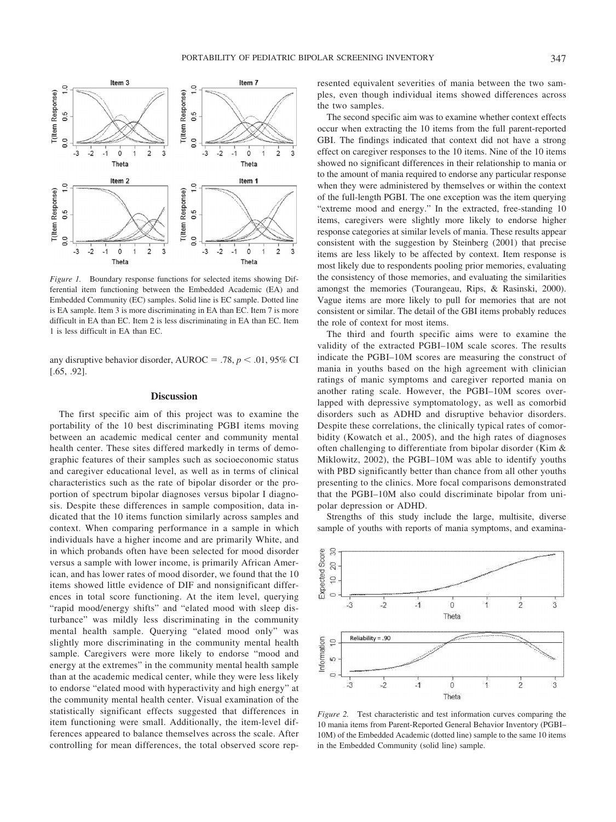

*Figure 1.* Boundary response functions for selected items showing Differential item functioning between the Embedded Academic (EA) and Embedded Community (EC) samples. Solid line is EC sample. Dotted line is EA sample. Item 3 is more discriminating in EA than EC. Item 7 is more difficult in EA than EC. Item 2 is less discriminating in EA than EC. Item 1 is less difficult in EA than EC.

any disruptive behavior disorder, AUROC = .78,  $p < .01$ , 95% CI [.65, .92].

### **Discussion**

The first specific aim of this project was to examine the portability of the 10 best discriminating PGBI items moving between an academic medical center and community mental health center. These sites differed markedly in terms of demographic features of their samples such as socioeconomic status and caregiver educational level, as well as in terms of clinical characteristics such as the rate of bipolar disorder or the proportion of spectrum bipolar diagnoses versus bipolar I diagnosis. Despite these differences in sample composition, data indicated that the 10 items function similarly across samples and context. When comparing performance in a sample in which individuals have a higher income and are primarily White, and in which probands often have been selected for mood disorder versus a sample with lower income, is primarily African American, and has lower rates of mood disorder, we found that the 10 items showed little evidence of DIF and nonsignificant differences in total score functioning. At the item level, querying "rapid mood/energy shifts" and "elated mood with sleep disturbance" was mildly less discriminating in the community mental health sample. Querying "elated mood only" was slightly more discriminating in the community mental health sample. Caregivers were more likely to endorse "mood and energy at the extremes" in the community mental health sample than at the academic medical center, while they were less likely to endorse "elated mood with hyperactivity and high energy" at the community mental health center. Visual examination of the statistically significant effects suggested that differences in item functioning were small. Additionally, the item-level differences appeared to balance themselves across the scale. After controlling for mean differences, the total observed score represented equivalent severities of mania between the two samples, even though individual items showed differences across the two samples.

The second specific aim was to examine whether context effects occur when extracting the 10 items from the full parent-reported GBI. The findings indicated that context did not have a strong effect on caregiver responses to the 10 items. Nine of the 10 items showed no significant differences in their relationship to mania or to the amount of mania required to endorse any particular response when they were administered by themselves or within the context of the full-length PGBI. The one exception was the item querying "extreme mood and energy." In the extracted, free-standing 10 items, caregivers were slightly more likely to endorse higher response categories at similar levels of mania. These results appear consistent with the suggestion by Steinberg (2001) that precise items are less likely to be affected by context. Item response is most likely due to respondents pooling prior memories, evaluating the consistency of those memories, and evaluating the similarities amongst the memories (Tourangeau, Rips, & Rasinski, 2000). Vague items are more likely to pull for memories that are not consistent or similar. The detail of the GBI items probably reduces the role of context for most items.

The third and fourth specific aims were to examine the validity of the extracted PGBI–10M scale scores. The results indicate the PGBI–10M scores are measuring the construct of mania in youths based on the high agreement with clinician ratings of manic symptoms and caregiver reported mania on another rating scale. However, the PGBI–10M scores overlapped with depressive symptomatology, as well as comorbid disorders such as ADHD and disruptive behavior disorders. Despite these correlations, the clinically typical rates of comorbidity (Kowatch et al., 2005), and the high rates of diagnoses often challenging to differentiate from bipolar disorder (Kim & Miklowitz, 2002), the PGBI–10M was able to identify youths with PBD significantly better than chance from all other youths presenting to the clinics. More focal comparisons demonstrated that the PGBI–10M also could discriminate bipolar from unipolar depression or ADHD.

Strengths of this study include the large, multisite, diverse sample of youths with reports of mania symptoms, and examina-



*Figure 2.* Test characteristic and test information curves comparing the 10 mania items from Parent-Reported General Behavior Inventory (PGBI– 10M) of the Embedded Academic (dotted line) sample to the same 10 items in the Embedded Community (solid line) sample.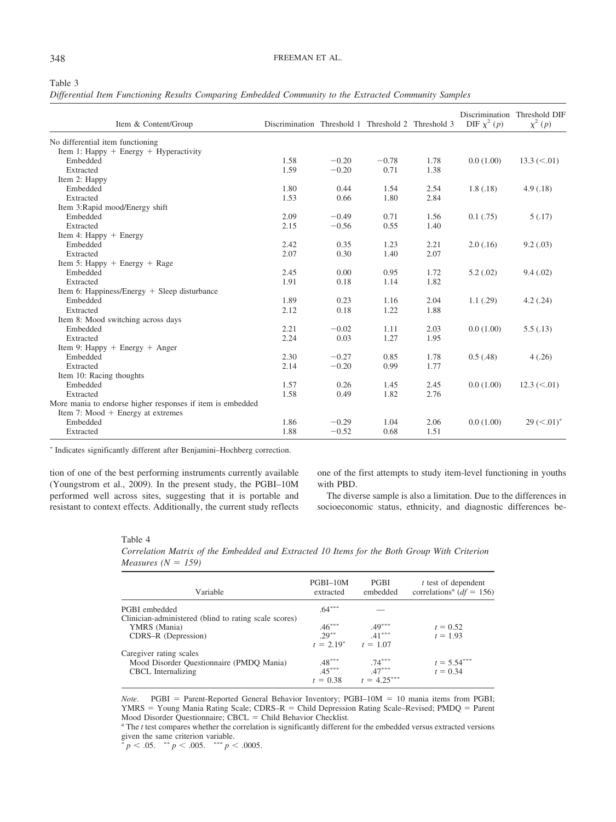## 348 FREEMAN ET AL.

#### Table 3

*Differential Item Functioning Results Comparing Embedded Community to the Extracted Community Samples*

| Item & Content/Group                                       | Discrimination Threshold 1 Threshold 2 Threshold 3 |         |         |      | DIF $\chi^2$ (p) | Discrimination Threshold DIF<br>$\chi^2(p)$ |
|------------------------------------------------------------|----------------------------------------------------|---------|---------|------|------------------|---------------------------------------------|
| No differential item functioning                           |                                                    |         |         |      |                  |                                             |
| Item 1: Happy $+$ Energy $+$ Hyperactivity                 |                                                    |         |         |      |                  |                                             |
| Embedded                                                   | 1.58                                               | $-0.20$ | $-0.78$ | 1.78 | 0.0(1.00)        | $13.3 \approx 0.01$                         |
| Extracted                                                  | 1.59                                               | $-0.20$ | 0.71    | 1.38 |                  |                                             |
| Item 2: Happy                                              |                                                    |         |         |      |                  |                                             |
| Embedded                                                   | 1.80                                               | 0.44    | 1.54    | 2.54 | 1.8(0.18)        | 4.9(0.18)                                   |
| Extracted                                                  | 1.53                                               | 0.66    | 1.80    | 2.84 |                  |                                             |
| Item 3: Rapid mood/Energy shift                            |                                                    |         |         |      |                  |                                             |
| Embedded                                                   | 2.09                                               | $-0.49$ | 0.71    | 1.56 | $0.1$ $(.75)$    | 5(.17)                                      |
| Extracted                                                  | 2.15                                               | $-0.56$ | 0.55    | 1.40 |                  |                                             |
| Item 4: Happy + Energy                                     |                                                    |         |         |      |                  |                                             |
| Embedded                                                   | 2.42                                               | 0.35    | 1.23    | 2.21 | 2.0(.16)         | 9.2(.03)                                    |
| Extracted                                                  | 2.07                                               | 0.30    | 1.40    | 2.07 |                  |                                             |
| Item 5: Happy $+$ Energy $+$ Rage                          |                                                    |         |         |      |                  |                                             |
| Embedded                                                   | 2.45                                               | 0.00    | 0.95    | 1.72 | 5.2(.02)         | 9.4(.02)                                    |
| Extracted                                                  | 1.91                                               | 0.18    | 1.14    | 1.82 |                  |                                             |
| Item 6: Happiness/Energy $+$ Sleep disturbance             |                                                    |         |         |      |                  |                                             |
| Embedded                                                   | 1.89                                               | 0.23    | 1.16    | 2.04 | 1.1(0.29)        | 4.2(.24)                                    |
| Extracted                                                  | 2.12                                               | 0.18    | 1.22    | 1.88 |                  |                                             |
| Item 8: Mood switching across days                         |                                                    |         |         |      |                  |                                             |
| Embedded                                                   | 2.21                                               | $-0.02$ | 1.11    | 2.03 | 0.0(1.00)        | 5.5(0.13)                                   |
| Extracted                                                  | 2.24                                               | 0.03    | 1.27    | 1.95 |                  |                                             |
| Item 9: Happy $+$ Energy $+$ Anger                         |                                                    |         |         |      |                  |                                             |
| Embedded                                                   | 2.30                                               | $-0.27$ | 0.85    | 1.78 | 0.5(0.48)        | 4(.26)                                      |
| Extracted                                                  | 2.14                                               | $-0.20$ | 0.99    | 1.77 |                  |                                             |
| Item 10: Racing thoughts                                   |                                                    |         |         |      |                  |                                             |
| Embedded                                                   | 1.57                                               | 0.26    | 1.45    | 2.45 | 0.0(1.00)        | $12.3 \; (< 0.01)$                          |
| Extracted                                                  | 1.58                                               | 0.49    | 1.82    | 2.76 |                  |                                             |
| More mania to endorse higher responses if item is embedded |                                                    |         |         |      |                  |                                             |
| Item 7: Mood $+$ Energy at extremes                        |                                                    |         |         |      |                  |                                             |
| Embedded                                                   | 1.86                                               | $-0.29$ | 1.04    | 2.06 | 0.0(1.00)        | $29$ ( $\leq 01$ ) <sup>*</sup>             |
| Extracted                                                  | 1.88                                               | $-0.52$ | 0.68    | 1.51 |                  |                                             |

 $*$  Indicates significantly different after Benjamini-Hochberg correction.

tion of one of the best performing instruments currently available (Youngstrom et al., 2009). In the present study, the PGBI–10M performed well across sites, suggesting that it is portable and resistant to context effects. Additionally, the current study reflects one of the first attempts to study item-level functioning in youths with PBD.

The diverse sample is also a limitation. Due to the differences in socioeconomic status, ethnicity, and diagnostic differences be-

#### Table 4

*Correlation Matrix of the Embedded and Extracted 10 Items for the Both Group With Criterion Measures (N 159)*

| Variable                                              | PGBI-10M<br>extracted | <b>PGBI</b><br>embedded | t test of dependent<br>correlations <sup>a</sup> ( $df = 156$ ) |
|-------------------------------------------------------|-----------------------|-------------------------|-----------------------------------------------------------------|
| PGBI embedded                                         | $.64***$              |                         |                                                                 |
| Clinician-administered (blind to rating scale scores) |                       |                         |                                                                 |
| YMRS (Mania)                                          | $.46***$              | $.49***$                | $t = 0.52$                                                      |
| CDRS-R (Depression)                                   | $29^{**}$             | $.41***$                | $t = 1.93$                                                      |
|                                                       | $t = 2.19^*$          | $t = 1.07$              |                                                                 |
| Caregiver rating scales                               |                       |                         |                                                                 |
| Mood Disorder Questionnaire (PMDQ Mania)              | $.48***$              | $.74***$                | $t = 5.54***$                                                   |
| CBCL Internalizing                                    | $45***$               | $.47***$                | $t = 0.34$                                                      |
|                                                       | $t = 0.38$            | $t = 4.25***$           |                                                                 |

*Note.* PGBI = Parent-Reported General Behavior Inventory; PGBI–10M = 10 mania items from PGBI;  $YMRS = Young Mania Rating Scale; CDRS–R = Child Depression Rating Scale–Revised; PMDQ = Parent Model Disorder Questionnaire; CBCL = Child Behavior Checklist.$ 

 $^{\text{a}}$  The  $t$  test compares whether the correlation is significantly different for the embedded versus extracted versions given the same criterion variable.

 $\int_{p}^{x} p$  < .05.  $\int_{p}^{*} p$  < .005.  $\int_{p}^{*} p$  < .0005.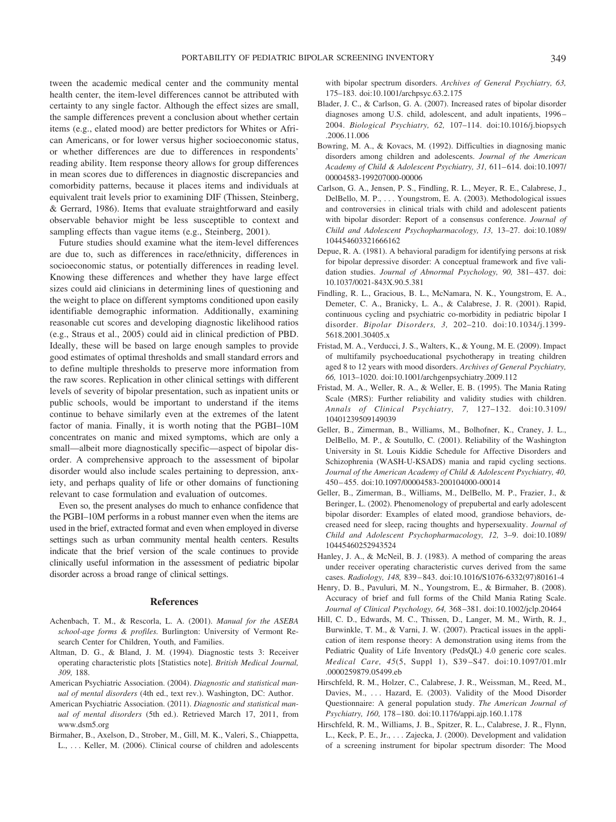tween the academic medical center and the community mental health center, the item-level differences cannot be attributed with certainty to any single factor. Although the effect sizes are small, the sample differences prevent a conclusion about whether certain items (e.g., elated mood) are better predictors for Whites or African Americans, or for lower versus higher socioeconomic status, or whether differences are due to differences in respondents' reading ability. Item response theory allows for group differences in mean scores due to differences in diagnostic discrepancies and comorbidity patterns, because it places items and individuals at equivalent trait levels prior to examining DIF (Thissen, Steinberg, & Gerrard, 1986). Items that evaluate straightforward and easily observable behavior might be less susceptible to context and sampling effects than vague items (e.g., Steinberg, 2001).

Future studies should examine what the item-level differences are due to, such as differences in race/ethnicity, differences in socioeconomic status, or potentially differences in reading level. Knowing these differences and whether they have large effect sizes could aid clinicians in determining lines of questioning and the weight to place on different symptoms conditioned upon easily identifiable demographic information. Additionally, examining reasonable cut scores and developing diagnostic likelihood ratios (e.g., Straus et al., 2005) could aid in clinical prediction of PBD. Ideally, these will be based on large enough samples to provide good estimates of optimal thresholds and small standard errors and to define multiple thresholds to preserve more information from the raw scores. Replication in other clinical settings with different levels of severity of bipolar presentation, such as inpatient units or public schools, would be important to understand if the items continue to behave similarly even at the extremes of the latent factor of mania. Finally, it is worth noting that the PGBI–10M concentrates on manic and mixed symptoms, which are only a small—albeit more diagnostically specific—aspect of bipolar disorder. A comprehensive approach to the assessment of bipolar disorder would also include scales pertaining to depression, anxiety, and perhaps quality of life or other domains of functioning relevant to case formulation and evaluation of outcomes.

Even so, the present analyses do much to enhance confidence that the PGBI–10M performs in a robust manner even when the items are used in the brief, extracted format and even when employed in diverse settings such as urban community mental health centers. Results indicate that the brief version of the scale continues to provide clinically useful information in the assessment of pediatric bipolar disorder across a broad range of clinical settings.

#### **References**

- Achenbach, T. M., & Rescorla, L. A. (2001). *Manual for the ASEBA school-age forms & profiles.* Burlington: University of Vermont Research Center for Children, Youth, and Families.
- Altman, D. G., & Bland, J. M. (1994). Diagnostic tests 3: Receiver operating characteristic plots [Statistics note]. *British Medical Journal, 309,* 188.
- American Psychiatric Association. (2004). *Diagnostic and statistical manual of mental disorders* (4th ed., text rev.). Washington, DC: Author.
- American Psychiatric Association. (2011). *Diagnostic and statistical manual of mental disorders* (5th ed.). Retrieved March 17, 2011, from www.dsm5.org
- Birmaher, B., Axelson, D., Strober, M., Gill, M. K., Valeri, S., Chiappetta, L., . . . Keller, M. (2006). Clinical course of children and adolescents

with bipolar spectrum disorders. *Archives of General Psychiatry, 63,* 175–183. doi:10.1001/archpsyc.63.2.175

- Blader, J. C., & Carlson, G. A. (2007). Increased rates of bipolar disorder diagnoses among U.S. child, adolescent, and adult inpatients, 1996 – 2004. *Biological Psychiatry, 62,* 107–114. doi:10.1016/j.biopsych .2006.11.006
- Bowring, M. A., & Kovacs, M. (1992). Difficulties in diagnosing manic disorders among children and adolescents. *Journal of the American Academy of Child & Adolescent Psychiatry, 31,* 611– 614. doi:10.1097/ 00004583-199207000-00006
- Carlson, G. A., Jensen, P. S., Findling, R. L., Meyer, R. E., Calabrese, J., DelBello, M. P., . . . Youngstrom, E. A. (2003). Methodological issues and controversies in clinical trials with child and adolescent patients with bipolar disorder: Report of a consensus conference. *Journal of Child and Adolescent Psychopharmacology, 13,* 13–27. doi:10.1089/ 104454603321666162
- Depue, R. A. (1981). A behavioral paradigm for identifying persons at risk for bipolar depressive disorder: A conceptual framework and five validation studies. *Journal of Abnormal Psychology*, 90, 381-437. doi: 10.1037/0021-843X.90.5.381
- Findling, R. L., Gracious, B. L., McNamara, N. K., Youngstrom, E. A., Demeter, C. A., Branicky, L. A., & Calabrese, J. R. (2001). Rapid, continuous cycling and psychiatric co-morbidity in pediatric bipolar I disorder. *Bipolar Disorders, 3,* 202–210. doi:10.1034/j.1399- 5618.2001.30405.x
- Fristad, M. A., Verducci, J. S., Walters, K., & Young, M. E. (2009). Impact of multifamily psychoeducational psychotherapy in treating children aged 8 to 12 years with mood disorders. *Archives of General Psychiatry, 66,* 1013–1020. doi:10.1001/archgenpsychiatry.2009.112
- Fristad, M. A., Weller, R. A., & Weller, E. B. (1995). The Mania Rating Scale (MRS): Further reliability and validity studies with children. *Annals of Clinical Psychiatry, 7,* 127–132. doi:10.3109/ 10401239509149039
- Geller, B., Zimerman, B., Williams, M., Bolhofner, K., Craney, J. L., DelBello, M. P., & Soutullo, C. (2001). Reliability of the Washington University in St. Louis Kiddie Schedule for Affective Disorders and Schizophrenia (WASH-U-KSADS) mania and rapid cycling sections. *Journal of the American Academy of Child & Adolescent Psychiatry, 40,* 450 – 455. doi:10.1097/00004583-200104000-00014
- Geller, B., Zimerman, B., Williams, M., DelBello, M. P., Frazier, J., & Beringer, L. (2002). Phenomenology of prepubertal and early adolescent bipolar disorder: Examples of elated mood, grandiose behaviors, decreased need for sleep, racing thoughts and hypersexuality. *Journal of Child and Adolescent Psychopharmacology, 12,* 3–9. doi:10.1089/ 10445460252943524
- Hanley, J. A., & McNeil, B. J. (1983). A method of comparing the areas under receiver operating characteristic curves derived from the same cases. *Radiology, 148,* 839 – 843. doi:10.1016/S1076-6332(97)80161-4
- Henry, D. B., Pavuluri, M. N., Youngstrom, E., & Birmaher, B. (2008). Accuracy of brief and full forms of the Child Mania Rating Scale. *Journal of Clinical Psychology, 64,* 368 –381. doi:10.1002/jclp.20464
- Hill, C. D., Edwards, M. C., Thissen, D., Langer, M. M., Wirth, R. J., Burwinkle, T. M., & Varni, J. W. (2007). Practical issues in the application of item response theory: A demonstration using items from the Pediatric Quality of Life Inventory (PedsQL) 4.0 generic core scales. *Medical Care, 45*(5, Suppl 1), S39 –S47. doi:10.1097/01.mlr .0000259879.05499.eb
- Hirschfeld, R. M., Holzer, C., Calabrese, J. R., Weissman, M., Reed, M., Davies, M., ... Hazard, E. (2003). Validity of the Mood Disorder Questionnaire: A general population study. *The American Journal of Psychiatry, 160,* 178 –180. doi:10.1176/appi.ajp.160.1.178
- Hirschfeld, R. M., Williams, J. B., Spitzer, R. L., Calabrese, J. R., Flynn, L., Keck, P. E., Jr., . . . Zajecka, J. (2000). Development and validation of a screening instrument for bipolar spectrum disorder: The Mood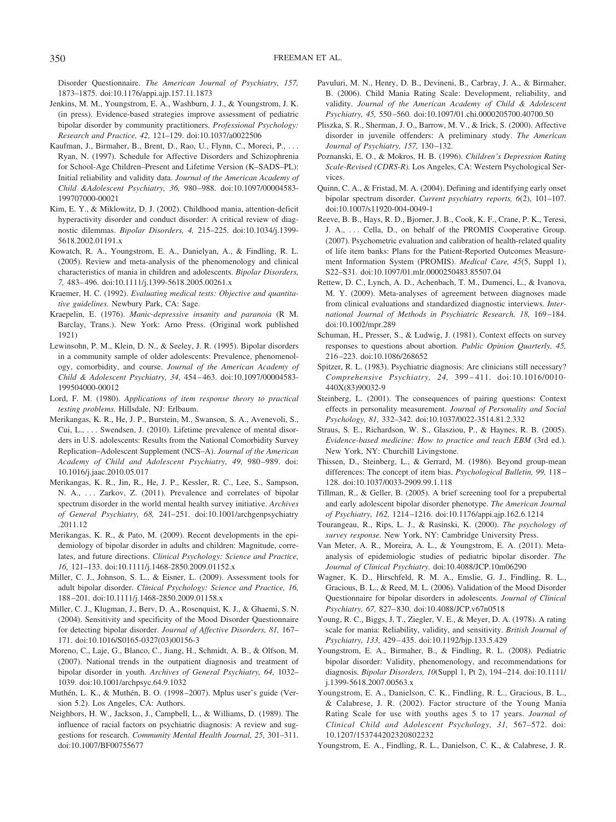Disorder Questionnaire. *The American Journal of Psychiatry, 157,* 1873–1875. doi:10.1176/appi.ajp.157.11.1873

- Jenkins, M. M., Youngstrom, E. A., Washburn, J. J., & Youngstrom, J. K. (in press). Evidence-based strategies improve assessment of pediatric bipolar disorder by community practitioners. *Professional Psychology: Research and Practice, 42,* 121–129. doi:10.1037/a0022506
- Kaufman, J., Birmaher, B., Brent, D., Rao, U., Flynn, C., Moreci, P., . . . Ryan, N. (1997). Schedule for Affective Disorders and Schizophrenia for School-Age Children–Present and Lifetime Version (K–SADS–PL): Initial reliability and validity data. *Journal of the American Academy of Child &Adolescent Psychiatry, 36,* 980 –988. doi:10.1097/00004583- 199707000-00021
- Kim, E. Y., & Miklowitz, D. J. (2002). Childhood mania, attention-deficit hyperactivity disorder and conduct disorder: A critical review of diagnostic dilemmas. *Bipolar Disorders, 4,* 215–225. doi:10.1034/j.1399- 5618.2002.01191.x
- Kowatch, R. A., Youngstrom, E. A., Danielyan, A., & Findling, R. L. (2005). Review and meta-analysis of the phenomenology and clinical characteristics of mania in children and adolescents. *Bipolar Disorders, 7,* 483– 496. doi:10.1111/j.1399-5618.2005.00261.x
- Kraemer, H. C. (1992). *Evaluating medical tests: Objective and quantitative guidelines.* Newbury Park, CA: Sage.
- Kraepelin, E. (1976). *Manic-depressive insanity and paranoia* (R M. Barclay, Trans.). New York: Arno Press. (Original work published 1921)
- Lewinsohn, P. M., Klein, D. N., & Seeley, J. R. (1995). Bipolar disorders in a community sample of older adolescents: Prevalence, phenomenology, comorbidity, and course. *Journal of the American Academy of Child & Adolescent Psychiatry, 34,* 454 – 463. doi:10.1097/00004583- 199504000-00012
- Lord, F. M. (1980). *Applications of item response theory to practical testing problems.* Hillsdale, NJ: Erlbaum.
- Merikangas, K. R., He, J. P., Burstein, M., Swanson, S. A., Avenevoli, S., Cui, L., . . . Swendsen, J. (2010). Lifetime prevalence of mental disorders in U.S. adolescents: Results from the National Comorbidity Survey Replication–Adolescent Supplement (NCS–A). *Journal of the American Academy of Child and Adolescent Psychiatry, 49,* 980 –989. doi: 10.1016/j.jaac.2010.05.017
- Merikangas, K. R., Jin, R., He, J. P., Kessler, R. C., Lee, S., Sampson, N. A., ... Zarkov, Z. (2011). Prevalence and correlates of bipolar spectrum disorder in the world mental health survey initiative. *Archives of General Psychiatry, 68,* 241–251. doi:10.1001/archgenpsychiatry .2011.12
- Merikangas, K. R., & Pato, M. (2009). Recent developments in the epidemiology of bipolar disorder in adults and children: Magnitude, correlates, and future directions. *Clinical Psychology: Science and Practice, 16,* 121–133. doi:10.1111/j.1468-2850.2009.01152.x
- Miller, C. J., Johnson, S. L., & Eisner, L. (2009). Assessment tools for adult bipolar disorder. *Clinical Psychology: Science and Practice, 16,* 188 –201. doi:10.1111/j.1468-2850.2009.01158.x
- Miller, C. J., Klugman, J., Berv, D. A., Rosenquist, K. J., & Ghaemi, S. N. (2004). Sensitivity and specificity of the Mood Disorder Questionnaire for detecting bipolar disorder. *Journal of Affective Disorders, 81,* 167– 171. doi:10.1016/S0165-0327(03)00156-3
- Moreno, C., Laje, G., Blanco, C., Jiang, H., Schmidt, A. B., & Olfson, M. (2007). National trends in the outpatient diagnosis and treatment of bipolar disorder in youth. *Archives of General Psychiatry, 64,* 1032– 1039. doi:10.1001/archpsyc.64.9.1032
- Muthén, L. K., & Muthén, B. O. (1998–2007). Mplus user's guide (Version 5.2). Los Angeles, CA: Authors.
- Neighbors, H. W., Jackson, J., Campbell, L., & Williams, D. (1989). The influence of racial factors on psychiatric diagnosis: A review and suggestions for research. *Community Mental Health Journal, 25,* 301–311. doi:10.1007/BF00755677
- Pavuluri, M. N., Henry, D. B., Devineni, B., Carbray, J. A., & Birmaher, B. (2006). Child Mania Rating Scale: Development, reliability, and validity. *Journal of the American Academy of Child & Adolescent Psychiatry, 45,* 550 –560. doi:10.1097/01.chi.0000205700.40700.50
- Pliszka, S. R., Sherman, J. O., Barrow, M. V., & Irick, S. (2000). Affective disorder in juvenile offenders: A preliminary study. *The American Journal of Psychiatry, 157,* 130 –132.
- Poznanski, E. O., & Mokros, H. B. (1996). *Children's Depression Rating Scale-Revised (CDRS-R).* Los Angeles, CA: Western Psychological Services.
- Quinn, C. A., & Fristad, M. A. (2004). Defining and identifying early onset bipolar spectrum disorder. *Current psychiatry reports, 6*(2), 101–107. doi:10.1007/s11920-004-0049-1
- Reeve, B. B., Hays, R. D., Bjorner, J. B., Cook, K. F., Crane, P. K., Teresi, J. A., . . . Cella, D., on behalf of the PROMIS Cooperative Group. (2007). Psychometric evaluation and calibration of health-related quality of life item banks: Plans for the Patient-Reported Outcomes Measurement Information System (PROMIS). *Medical Care, 45*(5, Suppl 1), S22–S31. doi:10.1097/01.mlr.0000250483.85507.04
- Rettew, D. C., Lynch, A. D., Achenbach, T. M., Dumenci, L., & Ivanova, M. Y. (2009). Meta-analyses of agreement between diagnoses made from clinical evaluations and standardized diagnostic interviews. *International Journal of Methods in Psychiatric Research, 18,* 169 –184. doi:10.1002/mpr.289
- Schuman, H., Presser, S., & Ludwig, J. (1981). Context effects on survey responses to questions about abortion. *Public Opinion Quarterly, 45,* 216 –223. doi:10.1086/268652
- Spitzer, R. L. (1983). Psychiatric diagnosis: Are clinicians still necessary? *Comprehensive Psychiatry, 24,* 399 – 411. doi:10.1016/0010- 440X(83)90032-9
- Steinberg, L. (2001). The consequences of pairing questions: Context effects in personality measurement. *Journal of Personality and Social Psychology, 81,* 332–342. doi:10.1037/0022-3514.81.2.332
- Straus, S. E., Richardson, W. S., Glasziou, P., & Haynes, R. B. (2005). *Evidence-based medicine: How to practice and teach EBM* (3rd ed.). New York, NY: Churchill Livingstone.
- Thissen, D., Steinberg, L., & Gerrard, M. (1986). Beyond group-mean differences: The concept of item bias. *Psychological Bulletin, 99,* 118 – 128. doi:10.1037/0033-2909.99.1.118
- Tillman, R., & Geller, B. (2005). A brief screening tool for a prepubertal and early adolescent bipolar disorder phenotype. *The American Journal of Psychiatry, 162,* 1214 –1216. doi:10.1176/appi.ajp.162.6.1214
- Tourangeau, R., Rips, L. J., & Rasinski, K. (2000). *The psychology of survey response.* New York, NY: Cambridge University Press.
- Van Meter, A. R., Moreira, A. L., & Youngstrom, E. A. (2011). Metaanalysis of epidemiologic studies of pediatric bipolar disorder. *The Journal of Clinical Psychiatry.* doi:10.4088/JCP.10m06290
- Wagner, K. D., Hirschfeld, R. M. A., Emslie, G. J., Findling, R. L., Gracious, B. L., & Reed, M. L. (2006). Validation of the Mood Disorder Questionnaire for bipolar disorders in adolescents. *Journal of Clinical Psychiatry, 67,* 827– 830. doi:10.4088/JCP.v67n0518
- Young, R. C., Biggs, J. T., Ziegler, V. E., & Meyer, D. A. (1978). A rating scale for mania: Reliability, validity, and sensitivity. *British Journal of Psychiatry, 133,* 429 – 435. doi:10.1192/bjp.133.5.429
- Youngstrom, E. A., Birmaher, B., & Findling, R. L. (2008). Pediatric bipolar disorder: Validity, phenomenology, and recommendations for diagnosis. *Bipolar Disorders, 10*(Suppl 1, Pt 2), 194 –214. doi:10.1111/ j.1399-5618.2007.00563.x
- Youngstrom, E. A., Danielson, C. K., Findling, R. L., Gracious, B. L., & Calabrese, J. R. (2002). Factor structure of the Young Mania Rating Scale for use with youths ages 5 to 17 years. *Journal of Clinical Child and Adolescent Psychology, 31,* 567–572. doi: 10.1207/153744202320802232
- Youngstrom, E. A., Findling, R. L., Danielson, C. K., & Calabrese, J. R.